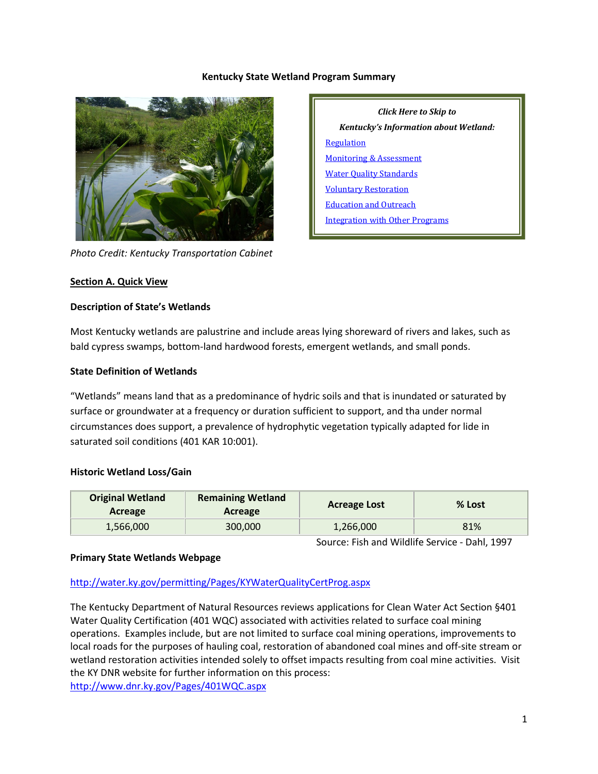### **Kentucky State Wetland Program Summary**



*Photo Credit: Kentucky Transportation Cabinet*

*Click Here to Skip to Kentucky's Information about Wetland:* [Regulation](#page-2-0) [Monitoring & Assessment](#page-5-0) Water [Quality Standards](#page-7-0) [Voluntary Restoration](#page-8-0) [Education and Outreach](#page-9-0) [Integration with Other Programs](#page-9-1)

### **Section A. Quick View**

### **Description of State's Wetlands**

Most Kentucky wetlands are palustrine and include areas lying shoreward of rivers and lakes, such as bald cypress swamps, bottom-land hardwood forests, emergent wetlands, and small ponds.

### **State Definition of Wetlands**

"Wetlands" means land that as a predominance of hydric soils and that is inundated or saturated by surface or groundwater at a frequency or duration sufficient to support, and tha under normal circumstances does support, a prevalence of hydrophytic vegetation typically adapted for lide in saturated soil conditions (401 KAR 10:001).

#### **Historic Wetland Loss/Gain**

| <b>Original Wetland</b><br>Acreage | <b>Remaining Wetland</b><br>Acreage | <b>Acreage Lost</b> | % Lost |
|------------------------------------|-------------------------------------|---------------------|--------|
| 1,566,000                          | 300,000                             | 1,266,000           | 81%    |

Source: Fish and Wildlife Service - Dahl, 1997

#### **Primary State Wetlands Webpage**

# <http://water.ky.gov/permitting/Pages/KYWaterQualityCertProg.aspx>

The Kentucky Department of Natural Resources reviews applications for Clean Water Act Section §401 Water Quality Certification (401 WQC) associated with activities related to surface coal mining operations. Examples include, but are not limited to surface coal mining operations, improvements to local roads for the purposes of hauling coal, restoration of abandoned coal mines and off-site stream or wetland restoration activities intended solely to offset impacts resulting from coal mine activities. Visit the KY DNR website for further information on this process:

<http://www.dnr.ky.gov/Pages/401WQC.aspx>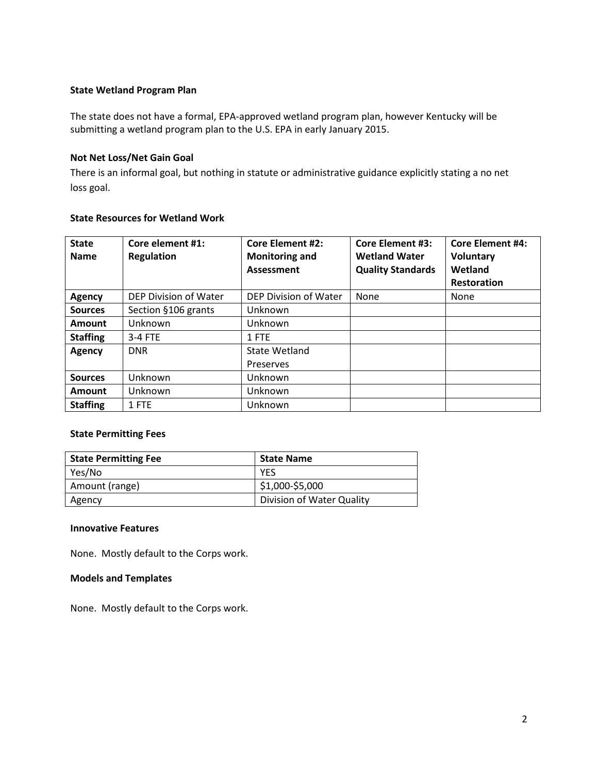### **State Wetland Program Plan**

The state does not have a formal, EPA-approved wetland program plan, however Kentucky will be submitting a wetland program plan to the U.S. EPA in early January 2015.

### **Not Net Loss/Net Gain Goal**

There is an informal goal, but nothing in statute or administrative guidance explicitly stating a no net loss goal.

| <b>State Resources for Wetland Work</b> |  |  |  |  |  |
|-----------------------------------------|--|--|--|--|--|
|-----------------------------------------|--|--|--|--|--|

| <b>State</b><br><b>Name</b> | Core element #1:<br><b>Regulation</b> | <b>Core Element #2:</b><br><b>Monitoring and</b><br>Assessment | <b>Core Element #3:</b><br><b>Wetland Water</b><br><b>Quality Standards</b> | Core Element #4:<br><b>Voluntary</b><br>Wetland<br><b>Restoration</b> |
|-----------------------------|---------------------------------------|----------------------------------------------------------------|-----------------------------------------------------------------------------|-----------------------------------------------------------------------|
| <b>Agency</b>               | DEP Division of Water                 | DEP Division of Water                                          | <b>None</b>                                                                 | <b>None</b>                                                           |
| <b>Sources</b>              | Section §106 grants                   | Unknown                                                        |                                                                             |                                                                       |
| <b>Amount</b>               | Unknown                               | Unknown                                                        |                                                                             |                                                                       |
| <b>Staffing</b>             | 3-4 FTE                               | 1 FTE                                                          |                                                                             |                                                                       |
| <b>Agency</b>               | <b>DNR</b>                            | State Wetland                                                  |                                                                             |                                                                       |
|                             |                                       | Preserves                                                      |                                                                             |                                                                       |
| <b>Sources</b>              | Unknown                               | Unknown                                                        |                                                                             |                                                                       |
| <b>Amount</b>               | Unknown                               | Unknown                                                        |                                                                             |                                                                       |
| <b>Staffing</b>             | 1 FTE                                 | Unknown                                                        |                                                                             |                                                                       |

#### **State Permitting Fees**

| <b>State Permitting Fee</b> | <b>State Name</b>             |  |
|-----------------------------|-------------------------------|--|
| Yes/No                      | <b>YFS</b>                    |  |
| Amount (range)              | $\frac{1}{2}$ \$1,000-\$5,000 |  |
| Agency                      | Division of Water Quality     |  |

#### **Innovative Features**

None. Mostly default to the Corps work.

### **Models and Templates**

None. Mostly default to the Corps work.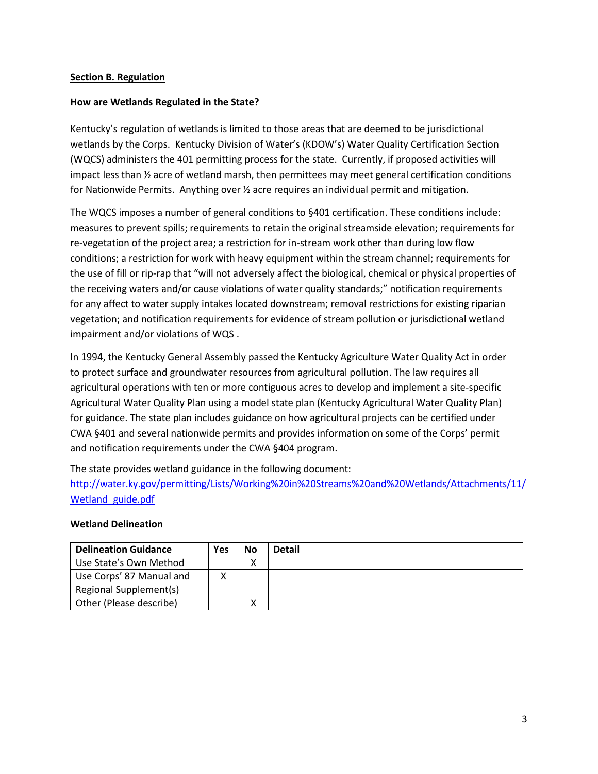## <span id="page-2-0"></span>**Section B. Regulation**

### **How are Wetlands Regulated in the State?**

Kentucky's regulation of wetlands is limited to those areas that are deemed to be jurisdictional wetlands by the Corps. Kentucky Division of Water's (KDOW's) Water Quality Certification Section (WQCS) administers the 401 permitting process for the state. Currently, if proposed activities will impact less than ½ acre of wetland marsh, then permittees may meet general certification conditions for Nationwide Permits. Anything over ½ acre requires an individual permit and mitigation.

The WQCS imposes a number of general conditions to §401 certification. These conditions include: measures to prevent spills; requirements to retain the original streamside elevation; requirements for re-vegetation of the project area; a restriction for in-stream work other than during low flow conditions; a restriction for work with heavy equipment within the stream channel; requirements for the use of fill or rip-rap that "will not adversely affect the biological, chemical or physical properties of the receiving waters and/or cause violations of water quality standards;" notification requirements for any affect to water supply intakes located downstream; removal restrictions for existing riparian vegetation; and notification requirements for evidence of stream pollution or jurisdictional wetland impairment and/or violations of WQS .

In 1994, the Kentucky General Assembly passed the Kentucky Agriculture Water Quality Act in order to protect surface and groundwater resources from agricultural pollution. The law requires all agricultural operations with ten or more contiguous acres to develop and implement a site-specific Agricultural Water Quality Plan using a model state plan (Kentucky Agricultural Water Quality Plan) for guidance. The state plan includes guidance on how agricultural projects can be certified under CWA §401 and several nationwide permits and provides information on some of the Corps' permit and notification requirements under the CWA §404 program.

The state provides wetland guidance in the following document:

[http://water.ky.gov/permitting/Lists/Working%20in%20Streams%20and%20Wetlands/Attachments/11/](http://water.ky.gov/permitting/Lists/Working%20in%20Streams%20and%20Wetlands/Attachments/11/Wetland_guide.pdf) Wetland guide.pdf

#### **Wetland Delineation**

| <b>Delineation Guidance</b> | Yes | <b>No</b> | <b>Detail</b> |
|-----------------------------|-----|-----------|---------------|
| Use State's Own Method      |     |           |               |
| Use Corps' 87 Manual and    |     |           |               |
| Regional Supplement(s)      |     |           |               |
| Other (Please describe)     |     |           |               |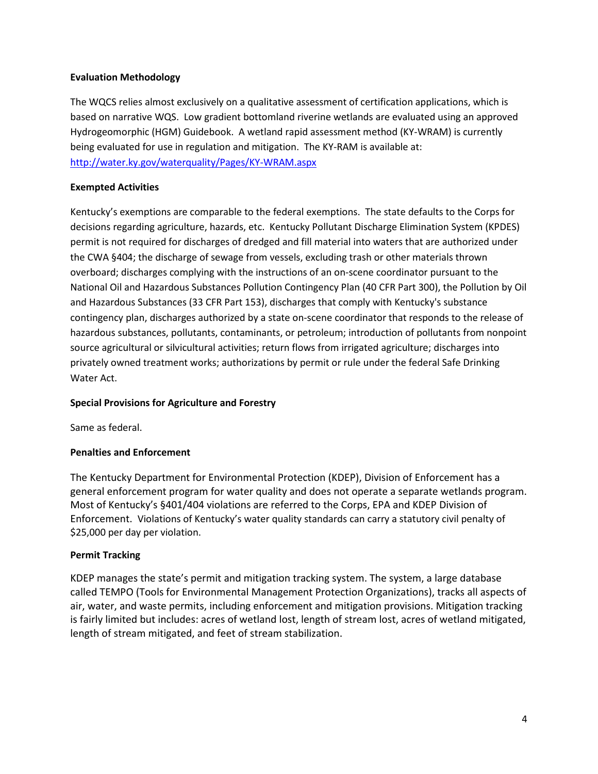# **Evaluation Methodology**

The WQCS relies almost exclusively on a qualitative assessment of certification applications, which is based on narrative WQS. Low gradient bottomland riverine wetlands are evaluated using an approved Hydrogeomorphic (HGM) Guidebook. A wetland rapid assessment method (KY-WRAM) is currently being evaluated for use in regulation and mitigation. The KY-RAM is available at: <http://water.ky.gov/waterquality/Pages/KY-WRAM.aspx>

# **Exempted Activities**

Kentucky's exemptions are comparable to the federal exemptions. The state defaults to the Corps for decisions regarding agriculture, hazards, etc. Kentucky Pollutant Discharge Elimination System (KPDES) permit is not required for discharges of dredged and fill material into waters that are authorized under the CWA §404; the discharge of sewage from vessels, excluding trash or other materials thrown overboard; discharges complying with the instructions of an on-scene coordinator pursuant to the National Oil and Hazardous Substances Pollution Contingency Plan (40 CFR Part 300), the Pollution by Oil and Hazardous Substances (33 CFR Part 153), discharges that comply with Kentucky's substance contingency plan, discharges authorized by a state on-scene coordinator that responds to the release of hazardous substances, pollutants, contaminants, or petroleum; introduction of pollutants from nonpoint source agricultural or silvicultural activities; return flows from irrigated agriculture; discharges into privately owned treatment works; authorizations by permit or rule under the federal Safe Drinking Water Act.

# **Special Provisions for Agriculture and Forestry**

Same as federal.

# **Penalties and Enforcement**

The Kentucky Department for Environmental Protection (KDEP), Division of Enforcement has a general enforcement program for water quality and does not operate a separate wetlands program. Most of Kentucky's §401/404 violations are referred to the Corps, EPA and KDEP Division of Enforcement. Violations of Kentucky's water quality standards can carry a statutory civil penalty of \$25,000 per day per violation.

# **Permit Tracking**

KDEP manages the state's permit and mitigation tracking system. The system, a large database called TEMPO (Tools for Environmental Management Protection Organizations), tracks all aspects of air, water, and waste permits, including enforcement and mitigation provisions. Mitigation tracking is fairly limited but includes: acres of wetland lost, length of stream lost, acres of wetland mitigated, length of stream mitigated, and feet of stream stabilization.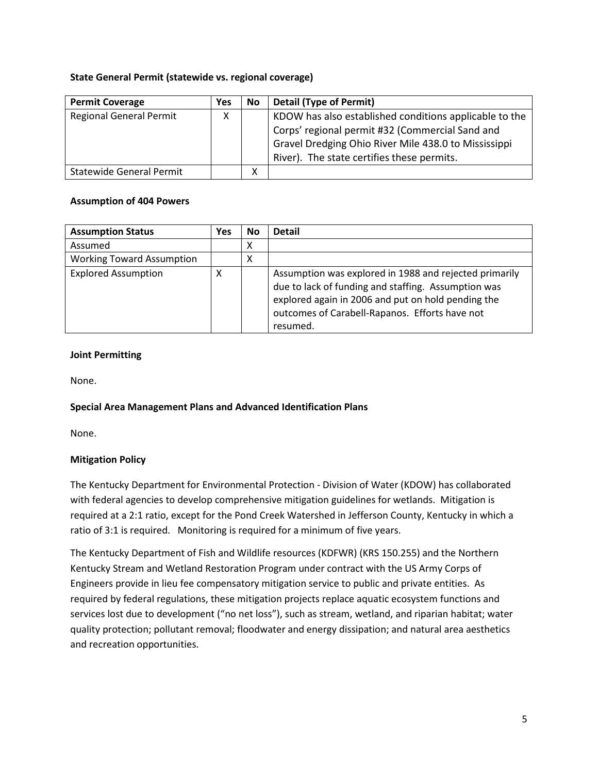# **State General Permit (statewide vs. regional coverage)**

| <b>Permit Coverage</b>          | Yes | No | <b>Detail (Type of Permit)</b>                         |
|---------------------------------|-----|----|--------------------------------------------------------|
| <b>Regional General Permit</b>  | x   |    | KDOW has also established conditions applicable to the |
|                                 |     |    | Corps' regional permit #32 (Commercial Sand and        |
|                                 |     |    | Gravel Dredging Ohio River Mile 438.0 to Mississippi   |
|                                 |     |    | River). The state certifies these permits.             |
| <b>Statewide General Permit</b> |     | х  |                                                        |

# **Assumption of 404 Powers**

| <b>Assumption Status</b>         | Yes | No | <b>Detail</b>                                                                                                                                                                                                                     |
|----------------------------------|-----|----|-----------------------------------------------------------------------------------------------------------------------------------------------------------------------------------------------------------------------------------|
| Assumed                          |     | х  |                                                                                                                                                                                                                                   |
| <b>Working Toward Assumption</b> |     | Χ  |                                                                                                                                                                                                                                   |
| <b>Explored Assumption</b>       | х   |    | Assumption was explored in 1988 and rejected primarily<br>due to lack of funding and staffing. Assumption was<br>explored again in 2006 and put on hold pending the<br>outcomes of Carabell-Rapanos. Efforts have not<br>resumed. |

# **Joint Permitting**

None.

# **Special Area Management Plans and Advanced Identification Plans**

None.

# **Mitigation Policy**

The Kentucky Department for Environmental Protection - Division of Water (KDOW) has collaborated with federal agencies to develop comprehensive mitigation guidelines for wetlands. Mitigation is required at a 2:1 ratio, except for the Pond Creek Watershed in Jefferson County, Kentucky in which a ratio of 3:1 is required. Monitoring is required for a minimum of five years.

The Kentucky Department of Fish and Wildlife resources (KDFWR) (KRS 150.255) and the Northern Kentucky Stream and Wetland Restoration Program under contract with the US Army Corps of Engineers provide in lieu fee compensatory mitigation service to public and private entities. As required by federal regulations, these mitigation projects replace aquatic ecosystem functions and services lost due to development ("no net loss"), such as stream, wetland, and riparian habitat; water quality protection; pollutant removal; floodwater and energy dissipation; and natural area aesthetics and recreation opportunities.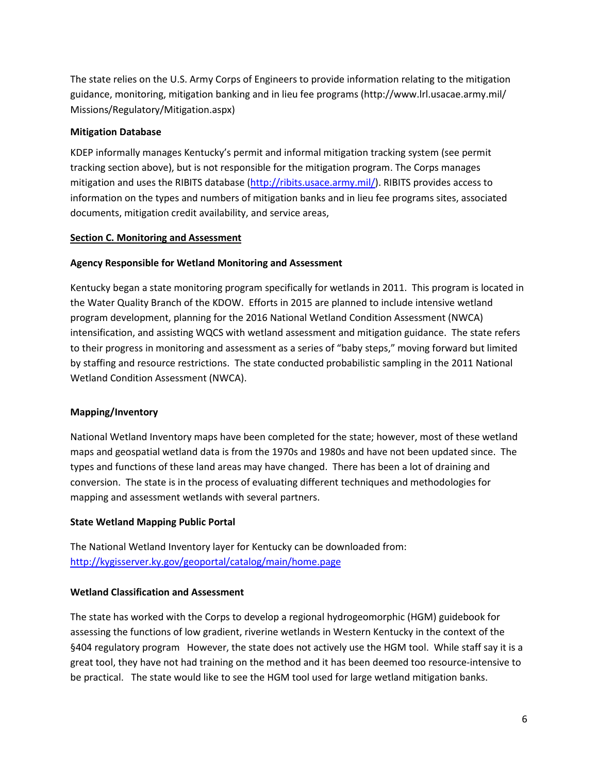The state relies on the U.S. Army Corps of Engineers to provide information relating to the mitigation guidance, monitoring, mitigation banking and in lieu fee programs (http://www.lrl.usacae.army.mil/ Missions/Regulatory/Mitigation.aspx)

### **Mitigation Database**

KDEP informally manages Kentucky's permit and informal mitigation tracking system (see permit tracking section above), but is not responsible for the mitigation program. The Corps manages mitigation and uses the RIBITS database [\(http://ribits.usace.army.mil/\)](http://ribits.usace.army.mil/). RIBITS provides access to information on the types and numbers of mitigation banks and in lieu fee programs sites, associated documents, mitigation credit availability, and service areas,

### <span id="page-5-0"></span>**Section C. Monitoring and Assessment**

### **Agency Responsible for Wetland Monitoring and Assessment**

Kentucky began a state monitoring program specifically for wetlands in 2011. This program is located in the Water Quality Branch of the KDOW. Efforts in 2015 are planned to include intensive wetland program development, planning for the 2016 National Wetland Condition Assessment (NWCA) intensification, and assisting WQCS with wetland assessment and mitigation guidance. The state refers to their progress in monitoring and assessment as a series of "baby steps," moving forward but limited by staffing and resource restrictions. The state conducted probabilistic sampling in the 2011 National Wetland Condition Assessment (NWCA).

#### **Mapping/Inventory**

National Wetland Inventory maps have been completed for the state; however, most of these wetland maps and geospatial wetland data is from the 1970s and 1980s and have not been updated since. The types and functions of these land areas may have changed. There has been a lot of draining and conversion. The state is in the process of evaluating different techniques and methodologies for mapping and assessment wetlands with several partners.

#### **State Wetland Mapping Public Portal**

The National Wetland Inventory layer for Kentucky can be downloaded from: <http://kygisserver.ky.gov/geoportal/catalog/main/home.page>

### **Wetland Classification and Assessment**

The state has worked with the Corps to develop a regional hydrogeomorphic (HGM) guidebook for assessing the functions of low gradient, riverine wetlands in Western Kentucky in the context of the §404 regulatory program However, the state does not actively use the HGM tool. While staff say it is a great tool, they have not had training on the method and it has been deemed too resource-intensive to be practical. The state would like to see the HGM tool used for large wetland mitigation banks.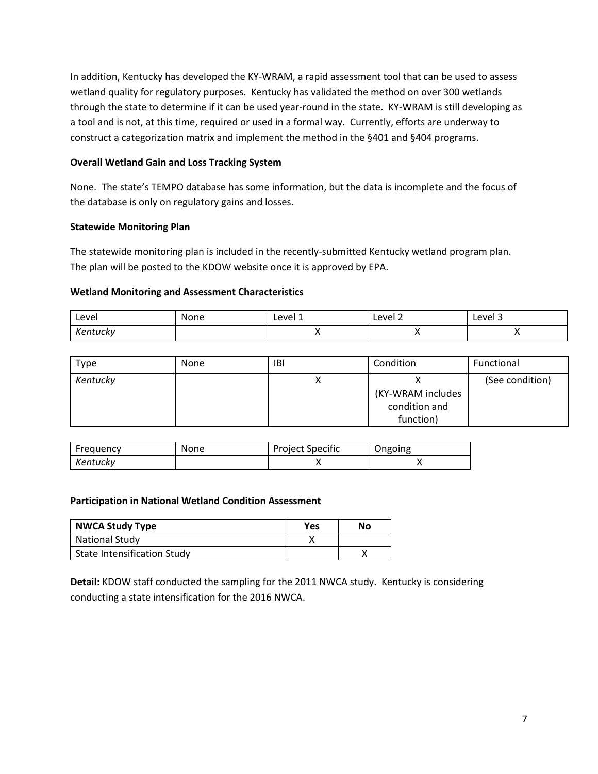In addition, Kentucky has developed the KY-WRAM, a rapid assessment tool that can be used to assess wetland quality for regulatory purposes. Kentucky has validated the method on over 300 wetlands through the state to determine if it can be used year-round in the state. KY-WRAM is still developing as a tool and is not, at this time, required or used in a formal way. Currently, efforts are underway to construct a categorization matrix and implement the method in the §401 and §404 programs.

# **Overall Wetland Gain and Loss Tracking System**

None. The state's TEMPO database has some information, but the data is incomplete and the focus of the database is only on regulatory gains and losses.

# **Statewide Monitoring Plan**

The statewide monitoring plan is included in the recently-submitted Kentucky wetland program plan. The plan will be posted to the KDOW website once it is approved by EPA.

# **Wetland Monitoring and Assessment Characteristics**

| Level                | None | Level 1 | Level 2 | Level 3 |
|----------------------|------|---------|---------|---------|
| Kontucky<br>Kentucky |      |         |         |         |

| Type     | <b>None</b> | IBI | Condition                                       | Functional      |
|----------|-------------|-----|-------------------------------------------------|-----------------|
| Kentucky |             |     | (KY-WRAM includes<br>condition and<br>function) | (See condition) |

| Frequency | None | <b>Project Specific</b> | Ongoing |
|-----------|------|-------------------------|---------|
| Kentucky  |      |                         |         |

# **Participation in National Wetland Condition Assessment**

| <b>NWCA Study Type</b>             | Yes | No |
|------------------------------------|-----|----|
| <b>National Study</b>              |     |    |
| <b>State Intensification Study</b> |     |    |

**Detail:** KDOW staff conducted the sampling for the 2011 NWCA study. Kentucky is considering conducting a state intensification for the 2016 NWCA.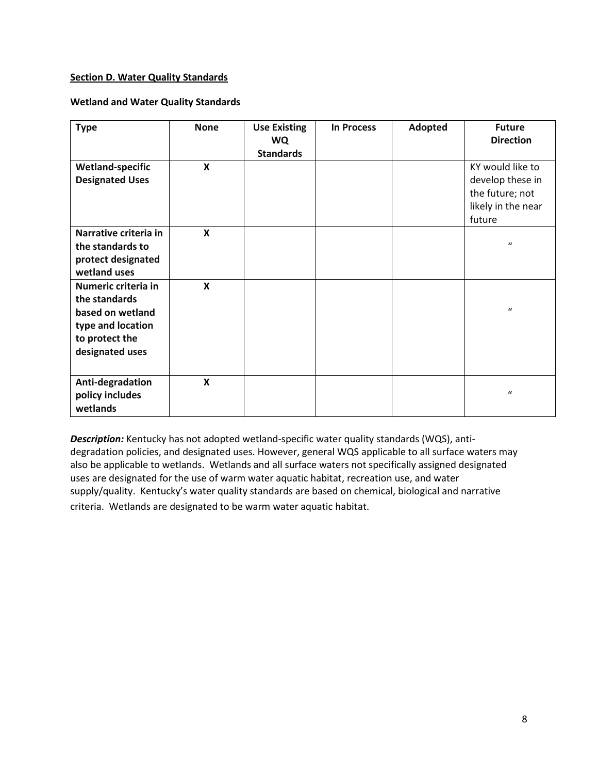## <span id="page-7-0"></span>**Section D. Water Quality Standards**

### **Wetland and Water Quality Standards**

| <b>Type</b>                                                                                                        | <b>None</b>               | <b>Use Existing</b><br><b>WQ</b><br><b>Standards</b> | <b>In Process</b> | Adopted | <b>Future</b><br><b>Direction</b>                                                       |
|--------------------------------------------------------------------------------------------------------------------|---------------------------|------------------------------------------------------|-------------------|---------|-----------------------------------------------------------------------------------------|
| <b>Wetland-specific</b><br><b>Designated Uses</b>                                                                  | X                         |                                                      |                   |         | KY would like to<br>develop these in<br>the future; not<br>likely in the near<br>future |
| Narrative criteria in<br>the standards to<br>protect designated<br>wetland uses                                    | $\boldsymbol{\mathsf{x}}$ |                                                      |                   |         | $\mathbf{u}$                                                                            |
| Numeric criteria in<br>the standards<br>based on wetland<br>type and location<br>to protect the<br>designated uses | $\mathbf x$               |                                                      |                   |         | $\mathbf{u}$                                                                            |
| Anti-degradation<br>policy includes<br>wetlands                                                                    | $\boldsymbol{\mathsf{x}}$ |                                                      |                   |         | $\iota$                                                                                 |

*Description:* Kentucky has not adopted wetland-specific water quality standards (WQS), antidegradation policies, and designated uses. However, general WQS applicable to all surface waters may also be applicable to wetlands. Wetlands and all surface waters not specifically assigned designated uses are designated for the use of warm water aquatic habitat, recreation use, and water supply/quality. Kentucky's water quality standards are based on chemical, biological and narrative criteria. Wetlands are designated to be warm water aquatic habitat.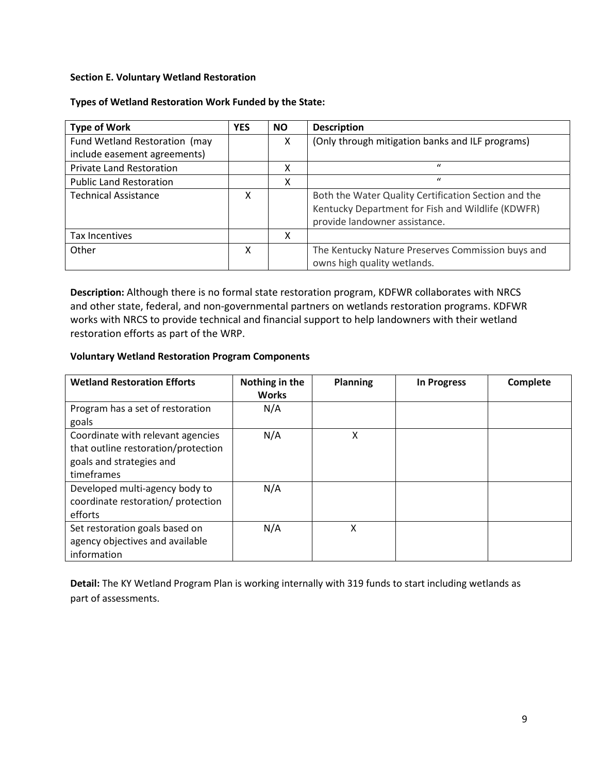# <span id="page-8-0"></span>**Section E. Voluntary Wetland Restoration**

# **Types of Wetland Restoration Work Funded by the State:**

| <b>Type of Work</b>             | <b>YES</b> | NO. | <b>Description</b>                                                                                                                         |
|---------------------------------|------------|-----|--------------------------------------------------------------------------------------------------------------------------------------------|
| Fund Wetland Restoration (may   |            | X   | (Only through mitigation banks and ILF programs)                                                                                           |
| include easement agreements)    |            |     |                                                                                                                                            |
| <b>Private Land Restoration</b> |            | Χ   | $\mathbf{u}$                                                                                                                               |
| <b>Public Land Restoration</b>  |            | Χ   | $\iota$                                                                                                                                    |
| <b>Technical Assistance</b>     | x          |     | Both the Water Quality Certification Section and the<br>Kentucky Department for Fish and Wildlife (KDWFR)<br>provide landowner assistance. |
| Tax Incentives                  |            | X   |                                                                                                                                            |
| Other                           | x          |     | The Kentucky Nature Preserves Commission buys and<br>owns high quality wetlands.                                                           |

**Description:** Although there is no formal state restoration program, KDFWR collaborates with NRCS and other state, federal, and non-governmental partners on wetlands restoration programs. KDFWR works with NRCS to provide technical and financial support to help landowners with their wetland restoration efforts as part of the WRP.

# **Voluntary Wetland Restoration Program Components**

| <b>Wetland Restoration Efforts</b>                                                                                 | Nothing in the<br><b>Works</b> | Planning | In Progress | Complete |
|--------------------------------------------------------------------------------------------------------------------|--------------------------------|----------|-------------|----------|
| Program has a set of restoration<br>goals                                                                          | N/A                            |          |             |          |
| Coordinate with relevant agencies<br>that outline restoration/protection<br>goals and strategies and<br>timeframes | N/A                            | Χ        |             |          |
| Developed multi-agency body to<br>coordinate restoration/ protection<br>efforts                                    | N/A                            |          |             |          |
| Set restoration goals based on<br>agency objectives and available<br>information                                   | N/A                            | χ        |             |          |

**Detail:** The KY Wetland Program Plan is working internally with 319 funds to start including wetlands as part of assessments.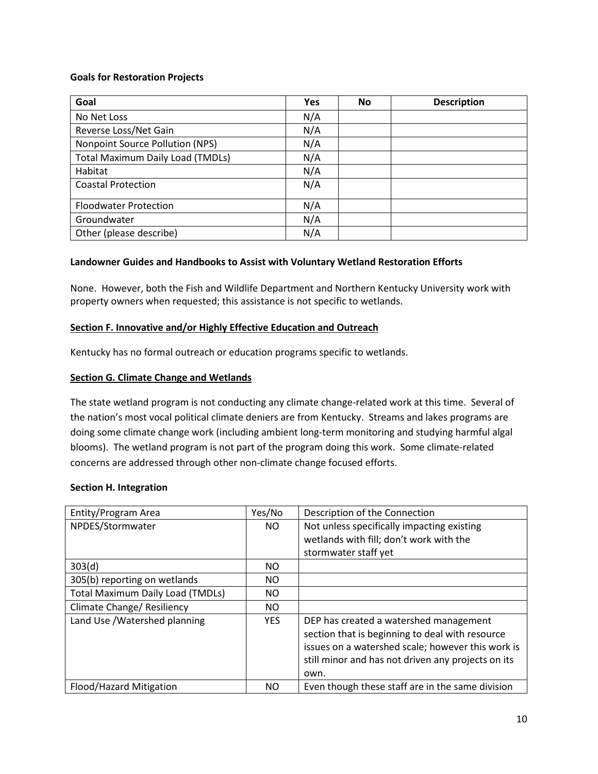## **Goals for Restoration Projects**

| Goal                                    | <b>Yes</b> | <b>No</b> | <b>Description</b> |
|-----------------------------------------|------------|-----------|--------------------|
| No Net Loss                             | N/A        |           |                    |
| Reverse Loss/Net Gain                   | N/A        |           |                    |
| Nonpoint Source Pollution (NPS)         | N/A        |           |                    |
| <b>Total Maximum Daily Load (TMDLs)</b> | N/A        |           |                    |
| Habitat                                 | N/A        |           |                    |
| <b>Coastal Protection</b>               | N/A        |           |                    |
| <b>Floodwater Protection</b>            | N/A        |           |                    |
| Groundwater                             | N/A        |           |                    |
| Other (please describe)                 | N/A        |           |                    |

# **Landowner Guides and Handbooks to Assist with Voluntary Wetland Restoration Efforts**

None. However, both the Fish and Wildlife Department and Northern Kentucky University work with property owners when requested; this assistance is not specific to wetlands.

### <span id="page-9-0"></span>**Section F. Innovative and/or Highly Effective Education and Outreach**

Kentucky has no formal outreach or education programs specific to wetlands.

### **Section G. Climate Change and Wetlands**

The state wetland program is not conducting any climate change-related work at this time. Several of the nation's most vocal political climate deniers are from Kentucky. Streams and lakes programs are doing some climate change work (including ambient long-term monitoring and studying harmful algal blooms). The wetland program is not part of the program doing this work. Some climate-related concerns are addressed through other non-climate change focused efforts.

#### <span id="page-9-1"></span>**Section H. Integration**

| Entity/Program Area                     | Yes/No     | Description of the Connection                      |
|-----------------------------------------|------------|----------------------------------------------------|
| NPDES/Stormwater                        | NO.        | Not unless specifically impacting existing         |
|                                         |            | wetlands with fill; don't work with the            |
|                                         |            | stormwater staff yet                               |
| 303(d)                                  | <b>NO</b>  |                                                    |
| 305(b) reporting on wetlands            | NO.        |                                                    |
| <b>Total Maximum Daily Load (TMDLs)</b> | NO.        |                                                    |
| Climate Change/ Resiliency              | NO.        |                                                    |
| Land Use /Watershed planning            | <b>YES</b> | DEP has created a watershed management             |
|                                         |            | section that is beginning to deal with resource    |
|                                         |            | issues on a watershed scale; however this work is  |
|                                         |            | still minor and has not driven any projects on its |
|                                         |            | own.                                               |
| Flood/Hazard Mitigation                 | <b>NO</b>  | Even though these staff are in the same division   |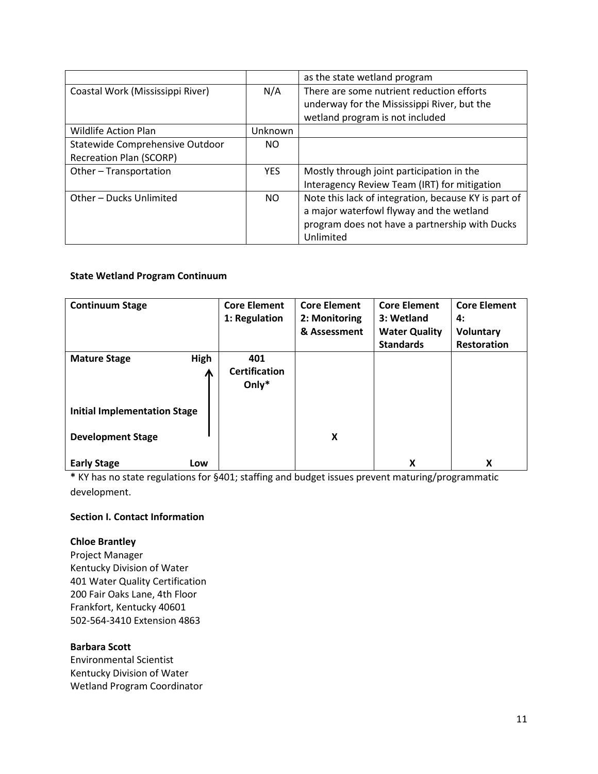|                                  |            | as the state wetland program                         |
|----------------------------------|------------|------------------------------------------------------|
| Coastal Work (Mississippi River) | N/A        | There are some nutrient reduction efforts            |
|                                  |            | underway for the Mississippi River, but the          |
|                                  |            | wetland program is not included                      |
| <b>Wildlife Action Plan</b>      | Unknown    |                                                      |
| Statewide Comprehensive Outdoor  | NO.        |                                                      |
| <b>Recreation Plan (SCORP)</b>   |            |                                                      |
| Other-Transportation             | <b>YES</b> | Mostly through joint participation in the            |
|                                  |            | Interagency Review Team (IRT) for mitigation         |
| Other - Ducks Unlimited          | NO.        | Note this lack of integration, because KY is part of |
|                                  |            | a major waterfowl flyway and the wetland             |
|                                  |            | program does not have a partnership with Ducks       |
|                                  |            | Unlimited                                            |

# **State Wetland Program Continuum**

| <b>Continuum Stage</b>              | <b>Core Element</b>  | <b>Core Element</b> | <b>Core Element</b>  | <b>Core Element</b> |
|-------------------------------------|----------------------|---------------------|----------------------|---------------------|
|                                     | 1: Regulation        | 2: Monitoring       | 3: Wetland           | 4:                  |
|                                     |                      | & Assessment        | <b>Water Quality</b> | <b>Voluntary</b>    |
|                                     |                      |                     | <b>Standards</b>     | <b>Restoration</b>  |
| <b>High</b><br><b>Mature Stage</b>  | 401                  |                     |                      |                     |
| Л                                   | <b>Certification</b> |                     |                      |                     |
|                                     | Only $*$             |                     |                      |                     |
|                                     |                      |                     |                      |                     |
| <b>Initial Implementation Stage</b> |                      |                     |                      |                     |
|                                     |                      |                     |                      |                     |
| <b>Development Stage</b>            |                      | X                   |                      |                     |
|                                     |                      |                     |                      |                     |
| <b>Early Stage</b><br>Low           |                      |                     | x                    | X                   |

**\*** KY has no state regulations for §401; staffing and budget issues prevent maturing/programmatic development.

# **Section I. Contact Information**

# **Chloe Brantley**

Project Manager Kentucky Division of Water 401 Water Quality Certification 200 Fair Oaks Lane, 4th Floor Frankfort, Kentucky 40601 502-564-3410 Extension 4863

# **Barbara Scott**

Environmental Scientist Kentucky Division of Water Wetland Program Coordinator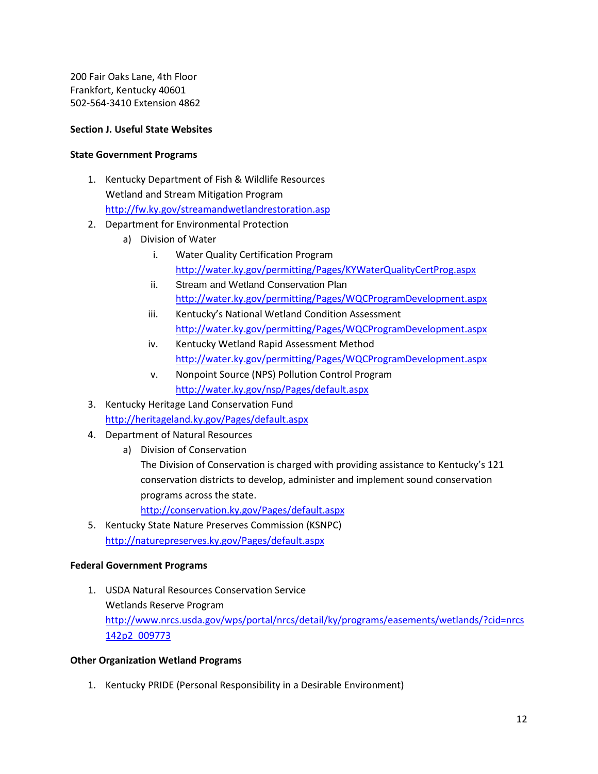200 Fair Oaks Lane, 4th Floor Frankfort, Kentucky 40601 502-564-3410 Extension 4862

## **Section J. Useful State Websites**

### **State Government Programs**

- 1. Kentucky Department of Fish & Wildlife Resources Wetland and Stream Mitigation Program <http://fw.ky.gov/streamandwetlandrestoration.asp>
- 2. Department for Environmental Protection
	- a) Division of Water
		- i. Water Quality Certification Program <http://water.ky.gov/permitting/Pages/KYWaterQualityCertProg.aspx>
		- ii. Stream and Wetland Conservation Plan <http://water.ky.gov/permitting/Pages/WQCProgramDevelopment.aspx>
		- iii. Kentucky's National Wetland Condition Assessment <http://water.ky.gov/permitting/Pages/WQCProgramDevelopment.aspx>
		- iv. Kentucky Wetland Rapid Assessment Method <http://water.ky.gov/permitting/Pages/WQCProgramDevelopment.aspx>
		- v. Nonpoint Source (NPS) Pollution Control Program <http://water.ky.gov/nsp/Pages/default.aspx>
- 3. Kentucky Heritage Land Conservation Fund <http://heritageland.ky.gov/Pages/default.aspx>
- 4. Department of Natural Resources
	- a) Division of Conservation

The Division of Conservation is charged with providing assistance to Kentucky's 121 conservation districts to develop, administer and implement sound conservation programs across the state.

<http://conservation.ky.gov/Pages/default.aspx>

5. Kentucky State Nature Preserves Commission (KSNPC) <http://naturepreserves.ky.gov/Pages/default.aspx>

# **Federal Government Programs**

1. USDA Natural Resources Conservation Service Wetlands Reserve Program [http://www.nrcs.usda.gov/wps/portal/nrcs/detail/ky/programs/easements/wetlands/?cid=nrcs](http://www.nrcs.usda.gov/wps/portal/nrcs/detail/ky/programs/easements/wetlands/?cid=nrcs142p2_009773) [142p2\\_009773](http://www.nrcs.usda.gov/wps/portal/nrcs/detail/ky/programs/easements/wetlands/?cid=nrcs142p2_009773)

#### **Other Organization Wetland Programs**

1. Kentucky PRIDE (Personal Responsibility in a Desirable Environment)